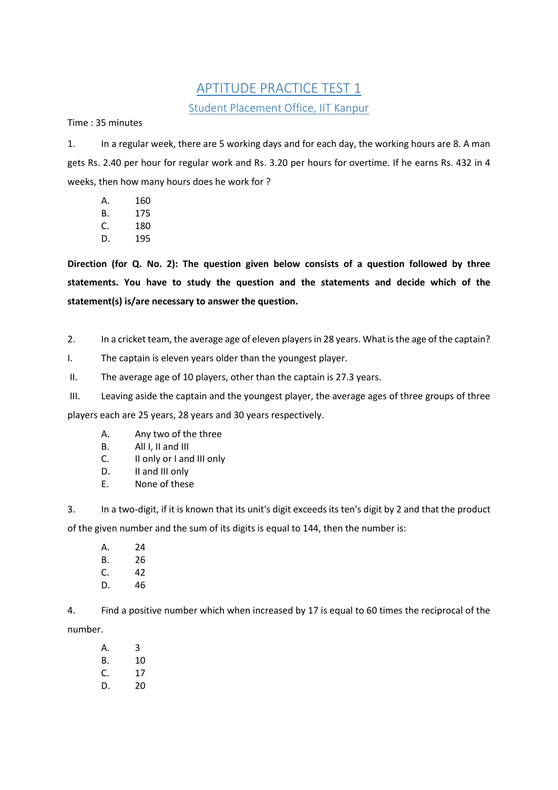## APTITUDE PRACTICE TEST 1 Student Placement Office, IIT Kanpur

Time : 35 minutes

1. In a regular week, there are 5 working days and for each day, the working hours are 8. A man gets Rs. 2.40 per hour for regular work and Rs. 3.20 per hours for overtime. If he earns Rs. 432 in 4 weeks, then how many hours does he work for ?

- A. 160
- B. 175
- C. 180
- D. 195

**Direction (for Q. No. 2): The question given below consists of a question followed by three statements. You have to study the question and the statements and decide which of the statement(s) is/are necessary to answer the question.**

2. In a cricket team, the average age of eleven players in 28 years. What is the age of the captain?

I. The captain is eleven years older than the youngest player.

II. The average age of 10 players, other than the captain is 27.3 years.

III. Leaving aside the captain and the youngest player, the average ages of three groups of three

players each are 25 years, 28 years and 30 years respectively.

- A. Any two of the three
- B. All I, II and III
- C. II only or I and III only
- D. II and III only
- E. None of these

3. In a two-digit, if it is known that its unit's digit exceeds its ten's digit by 2 and that the product of the given number and the sum of its digits is equal to 144, then the number is:

A. 24 B. 26 C. 42 D. 46

4. Find a positive number which when increased by 17 is equal to 60 times the reciprocal of the number.

- A. 3 B. 10 C. 17
- D. 20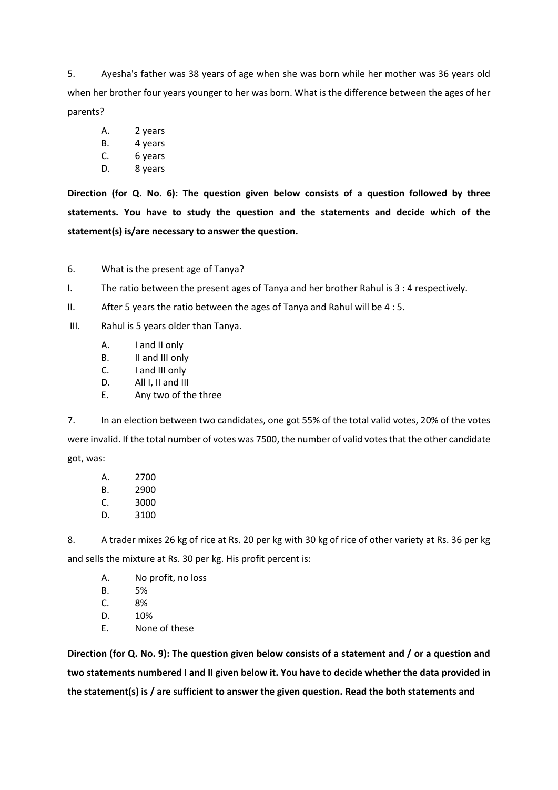5. Ayesha's father was 38 years of age when she was born while her mother was 36 years old when her brother four years younger to her was born. What is the difference between the ages of her parents?

- A. 2 years
- B. 4 years
- C. 6 years
- D. 8 years

**Direction (for Q. No. 6): The question given below consists of a question followed by three statements. You have to study the question and the statements and decide which of the statement(s) is/are necessary to answer the question.**

6. What is the present age of Tanya?

I. The ratio between the present ages of Tanya and her brother Rahul is 3 : 4 respectively.

II. After 5 years the ratio between the ages of Tanya and Rahul will be 4 : 5.

- III. Rahul is 5 years older than Tanya.
	- A. I and II only
	- B. II and III only
	- C. I and III only
	- D. All I, II and III
	- E. Any two of the three

7. In an election between two candidates, one got 55% of the total valid votes, 20% of the votes were invalid. If the total number of votes was 7500, the number of valid votes that the other candidate got, was:

A. 2700 B. 2900 C. 3000 D. 3100

8. A trader mixes 26 kg of rice at Rs. 20 per kg with 30 kg of rice of other variety at Rs. 36 per kg and sells the mixture at Rs. 30 per kg. His profit percent is:

- A. No profit, no loss
- B. 5%
- C. 8%
- D. 10%
- E. None of these

**Direction (for Q. No. 9): The question given below consists of a statement and / or a question and two statements numbered I and II given below it. You have to decide whether the data provided in the statement(s) is / are sufficient to answer the given question. Read the both statements and**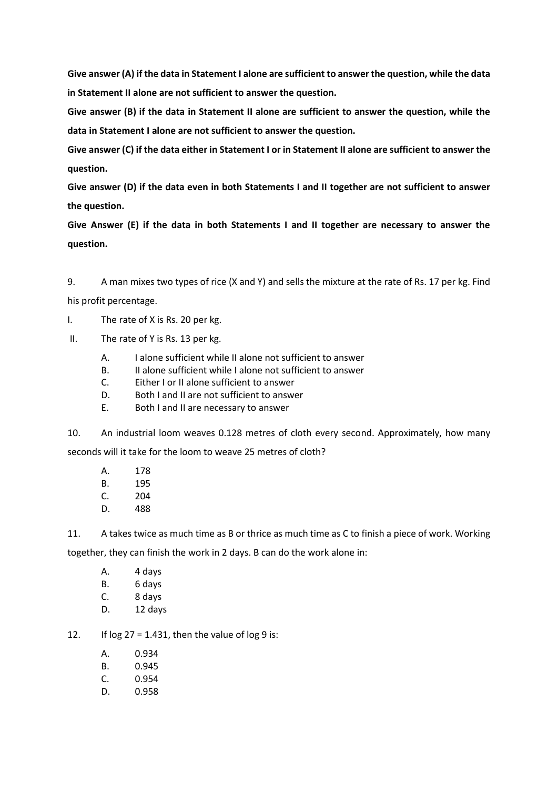**Give answer (A) if the data in Statement I alone are sufficient to answer the question, while the data in Statement II alone are not sufficient to answer the question.**

**Give answer (B) if the data in Statement II alone are sufficient to answer the question, while the data in Statement I alone are not sufficient to answer the question.**

**Give answer (C) if the data either in Statement I or in Statement II alone are sufficient to answer the question.**

**Give answer (D) if the data even in both Statements I and II together are not sufficient to answer the question.**

**Give Answer (E) if the data in both Statements I and II together are necessary to answer the question.**

9. A man mixes two types of rice (X and Y) and sells the mixture at the rate of Rs. 17 per kg. Find his profit percentage.

I. The rate of X is Rs. 20 per kg.

- II. The rate of Y is Rs. 13 per kg.
	- A. I alone sufficient while II alone not sufficient to answer
	- B. II alone sufficient while I alone not sufficient to answer
	- C. Either I or II alone sufficient to answer
	- D. Both I and II are not sufficient to answer
	- E. Both I and II are necessary to answer

10. An industrial loom weaves 0.128 metres of cloth every second. Approximately, how many seconds will it take for the loom to weave 25 metres of cloth?

- A. 178
- B. 195
- C. 204
- D. 488

11. A takes twice as much time as B or thrice as much time as C to finish a piece of work. Working

together, they can finish the work in 2 days. B can do the work alone in:

- A. 4 days
- B. 6 days
- C. 8 days
- D. 12 days

12. If  $log 27 = 1.431$ , then the value of  $log 9$  is:

- A. 0.934
- B. 0.945
- C. 0.954
- D. 0.958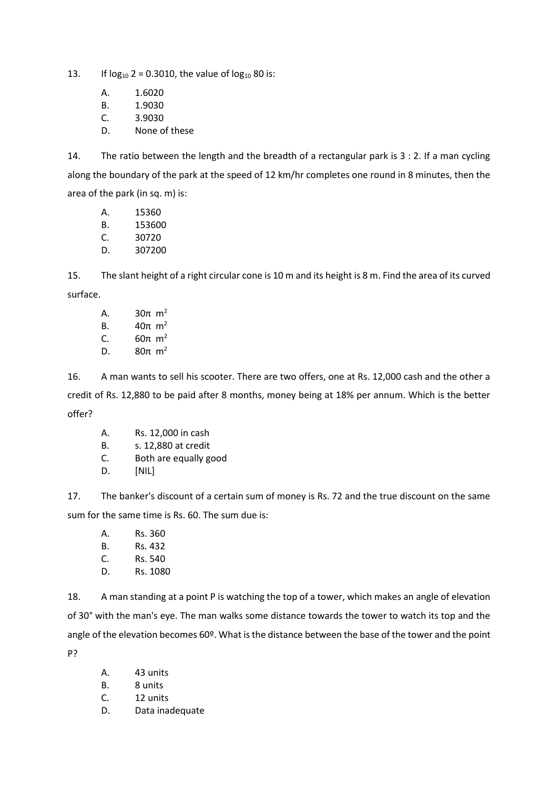13. If  $log_{10} 2 = 0.3010$ , the value of  $log_{10} 80$  is:

- A. 1.6020
- B. 1.9030
- C. 3.9030
- D. None of these

14. The ratio between the length and the breadth of a rectangular park is 3 : 2. If a man cycling along the boundary of the park at the speed of 12 km/hr completes one round in 8 minutes, then the area of the park (in sq. m) is:

- A. 15360
- B. 153600
- C. 30720
- D. 307200

15. The slant height of a right circular cone is 10 m and its height is 8 m. Find the area of its curved surface.

A.  $30π \, m^2$ B.  $40π \, m^2$ C.  $60π \, m^2$ D.  $80π \, m^2$ 

16. A man wants to sell his scooter. There are two offers, one at Rs. 12,000 cash and the other a credit of Rs. 12,880 to be paid after 8 months, money being at 18% per annum. Which is the better offer?

- A. Rs. 12,000 in cash
- B. s. 12,880 at credit
- C. Both are equally good
- D. [NIL]

17. The banker's discount of a certain sum of money is Rs. 72 and the true discount on the same sum for the same time is Rs. 60. The sum due is:

- A. Rs. 360 B. Rs. 432 C. Rs. 540
- D. Rs. 1080

18. A man standing at a point P is watching the top of a tower, which makes an angle of elevation of 30° with the man's eye. The man walks some distance towards the tower to watch its top and the angle of the elevation becomes 60º. What is the distance between the base of the tower and the point P?

- A. 43 units
- B. 8 units
- C. 12 units
- D. Data inadequate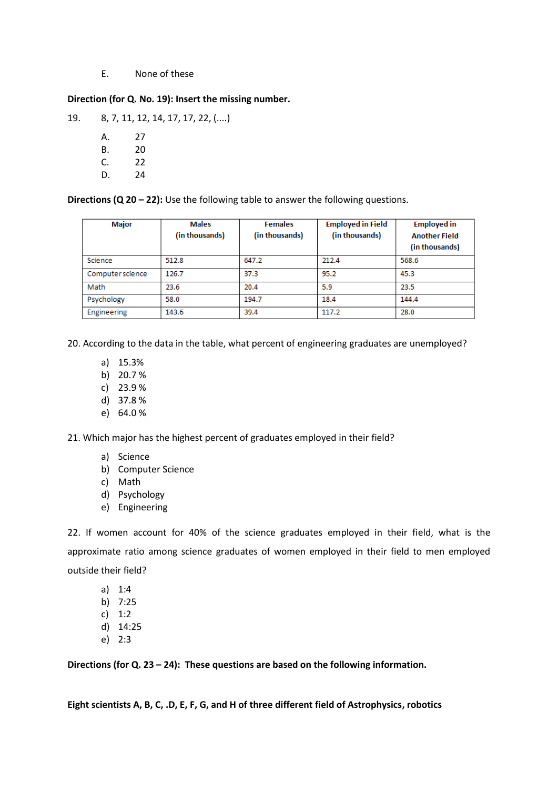## E. None of these

## **Direction (for Q. No. 19): Insert the missing number.**

19. 8, 7, 11, 12, 14, 17, 17, 22, (....)

A. 27 B. 20 C. 22 D. 24

**Directions (Q 20 – 22):** Use the following table to answer the following questions.

| Major            | <b>Males</b><br>(in thousands) | <b>Females</b><br>(in thousands) | <b>Employed in Field</b><br>(in thousands) | <b>Employed in</b><br><b>Another Field</b><br>(in thousands) |
|------------------|--------------------------------|----------------------------------|--------------------------------------------|--------------------------------------------------------------|
| Science          | 512.8                          | 647.2                            | 212.4                                      | 568.6                                                        |
| Computer science | 126.7                          | 37.3                             | 95.2                                       | 45.3                                                         |
| Math             | 23.6                           | 20.4                             | 5.9                                        | 23.5                                                         |
| Psychology       | 58.0                           | 194.7                            | 18.4                                       | 144.4                                                        |
| Engineering      | 143.6                          | 39.4                             | 117.2                                      | 28.0                                                         |

20. According to the data in the table, what percent of engineering graduates are unemployed?

- a) 15.3%
- b) 20.7 %
- c) 23.9 %
- d) 37.8 %
- e) 64.0 %

21. Which major has the highest percent of graduates employed in their field?

- a) Science
- b) Computer Science
- c) Math
- d) Psychology
- e) Engineering

22. If women account for 40% of the science graduates employed in their field, what is the approximate ratio among science graduates of women employed in their field to men employed outside their field?

- a) 1:4
- b) 7:25
- c) 1:2
- d) 14:25
- e) 2:3

**Directions (for Q. 23 – 24): These questions are based on the following information.**

**Eight scientists A, B, C, .D, E, F, G, and H of three different field of Astrophysics, robotics**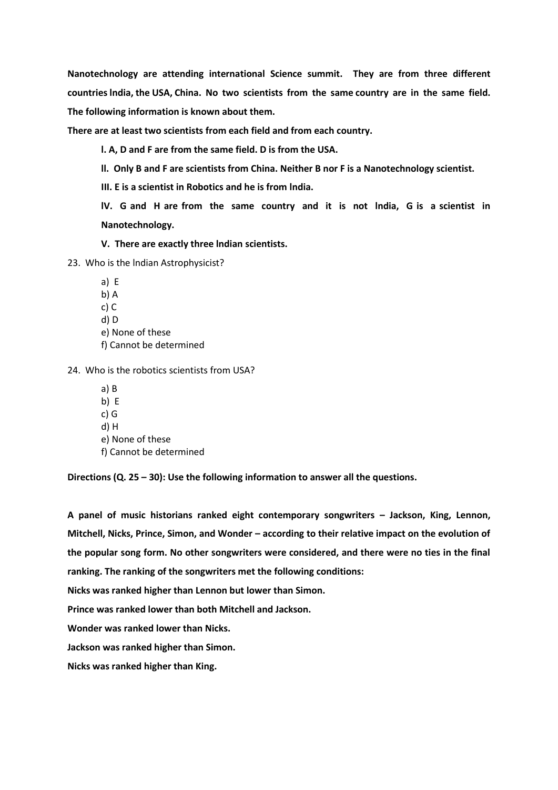**Nanotechnology are attending international Science summit. They are from three different countries lndia, the USA, China. No two scientists from the same country are in the same field. The following information is known about them.**

**There are at least two scientists from each field and from each country.**

**l. A, D and F are from the same field. D is from the USA.**

**ll. Only B and F are scientists from China. Neither B nor F is a Nanotechnology scientist.**

**III. E is a scientist in Robotics and he is from lndia.**

**lV. G and H are from the same country and it is not lndia, G is a scientist in Nanotechnology.**

**V. There are exactly three lndian scientists.** 

23. Who is the lndian Astrophysicist?

a) E b) A c) C d) D e) None of these f) Cannot be determined

24. Who is the robotics scientists from USA?

a) B b) E c) G d) H e) None of these f) Cannot be determined

**Directions (Q. 25 – 30): Use the following information to answer all the questions.**

**A panel of music historians ranked eight contemporary songwriters – Jackson, King, Lennon, Mitchell, Nicks, Prince, Simon, and Wonder – according to their relative impact on the evolution of the popular song form. No other songwriters were considered, and there were no ties in the final ranking. The ranking of the songwriters met the following conditions:**

**Nicks was ranked higher than Lennon but lower than Simon.**

**Prince was ranked lower than both Mitchell and Jackson.**

**Wonder was ranked lower than Nicks.**

**Jackson was ranked higher than Simon.**

**Nicks was ranked higher than King.**